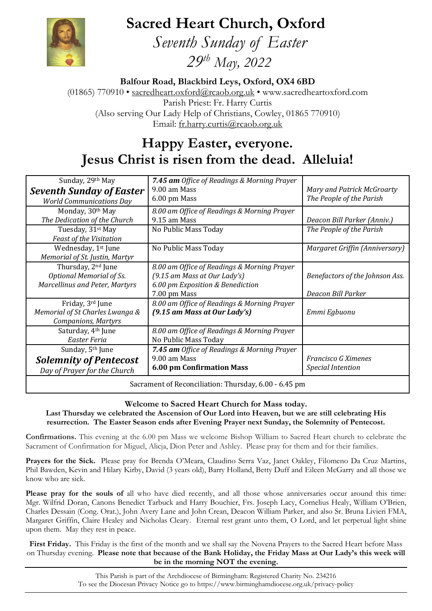**Sacred Heart Church, Oxford**



 *Seventh Sunday of Easter 29 th May, 2022*

**Balfour Road, Blackbird Leys, Oxford, OX4 6BD**

(01865) 770910 • [sacredheart.oxford@rcaob.org.uk](mailto:sacredheart.oxford@rcaob.org.uk) • www.sacredheartoxford.com Parish Priest: Fr. Harry Curtis (Also serving Our Lady Help of Christians, Cowley, 01865 770910) Email: [fr.harry.curtis@rcaob.org.uk](mailto:fr.harry.curtis@rcaob.org.uk)

# **Happy Easter, everyone. Jesus Christ is risen from the dead. Alleluia!**

| Sunday, 29th May                                      | 7.45 am Office of Readings & Morning Prayer |                                 |
|-------------------------------------------------------|---------------------------------------------|---------------------------------|
| <b>Seventh Sunday of Easter</b>                       | 9.00 am Mass                                | Mary and Patrick McGroarty      |
| <b>World Communications Day</b>                       | 6.00 pm Mass                                | The People of the Parish        |
| Monday, 30th May                                      | 8.00 am Office of Readings & Morning Prayer |                                 |
| The Dedication of the Church                          | 9.15 am Mass                                | Deacon Bill Parker (Anniv.)     |
| Tuesday, 31 <sup>st</sup> May                         | No Public Mass Today                        | The People of the Parish        |
| Feast of the Visitation                               |                                             |                                 |
| Wednesday, 1 <sup>st</sup> June                       | No Public Mass Today                        | Margaret Griffin (Anniversary)  |
| Memorial of St. Justin, Martyr                        |                                             |                                 |
| Thursday, 2 <sup>nd</sup> June                        | 8.00 am Office of Readings & Morning Prayer |                                 |
| Optional Memorial of Ss.                              | (9.15 am Mass at Our Lady's)                | Benefactors of the Johnson Ass. |
| <b>Marcellinus and Peter, Martyrs</b>                 | 6.00 pm Exposition & Benediction            |                                 |
|                                                       | 7.00 pm Mass                                | Deacon Bill Parker              |
| Friday, 3rd June                                      | 8.00 am Office of Readings & Morning Prayer |                                 |
| Memorial of St Charles Lwanga &                       | (9.15 am Mass at Our Lady's)                | Emmi Egbuonu                    |
| <b>Companions, Martyrs</b>                            |                                             |                                 |
| Saturday, 4 <sup>th</sup> June                        | 8.00 am Office of Readings & Morning Prayer |                                 |
| Easter Feria                                          | No Public Mass Today                        |                                 |
| Sunday, 5 <sup>th</sup> June                          | 7.45 am Office of Readings & Morning Prayer |                                 |
| <b>Solemnity of Pentecost</b>                         | 9.00 am Mass                                | Francisco G Ximenes             |
| Day of Prayer for the Church                          | <b>6.00 pm Confirmation Mass</b>            | <b>Special Intention</b>        |
| Sacrament of Reconciliation: Thursday, 6.00 - 6.45 pm |                                             |                                 |

## **Welcome to Sacred Heart Church for Mass today.**

**Last Thursday we celebrated the Ascension of Our Lord into Heaven, but we are still celebrating His resurrection. The Easter Season ends after Evening Prayer next Sunday, the Solemnity of Pentecost.**

**Confirmations.** This evening at the 6.00 pm Mass we welcome Bishop William to Sacred Heart church to celebrate the Sacrament of Confirmation for Miguel, Alicja, Dion Peter and Ashley. Please pray for them and for their families.

**Prayers for the Sick.** Please pray for Brenda O'Meara, Claudino Serra Vaz, Janet Oakley, Filomeno Da Cruz Martins, Phil Bawden, Kevin and Hilary Kirby, David (3 years old), Barry Holland, Betty Duff and Eileen McGarry and all those we know who are sick.

Please pray for the souls of all who have died recently, and all those whose anniversaries occur around this time: Mgr. Wilfrid Doran, Canons Benedict Tarbuck and Harry Bouchier, Frs. Joseph Lacy, Cornelius Healy, William O'Brien, Charles Dessain (Cong. Orat.), John Avery Lane and John Crean, Deacon William Parker, and also Sr. Bruna Livieri FMA, Margaret Griffin, Claire Healey and Nicholas Cleary. Eternal rest grant unto them, O Lord, and let perpetual light shine upon them. May they rest in peace.

**First Friday.** This Friday is the first of the month and we shall say the Novena Prayers to the Sacred Heart before Mass on Thursday evening. **Please note that because of the Bank Holiday, the Friday Mass at Our Lady's this week will be in the morning NOT the evening.**

> This Parish is part of the Archdiocese of Birmingham: Registered Charity No. 234216 To see the Diocesan Privacy Notice go to<https://www.birminghamdiocese.org.uk/privacy-policy>